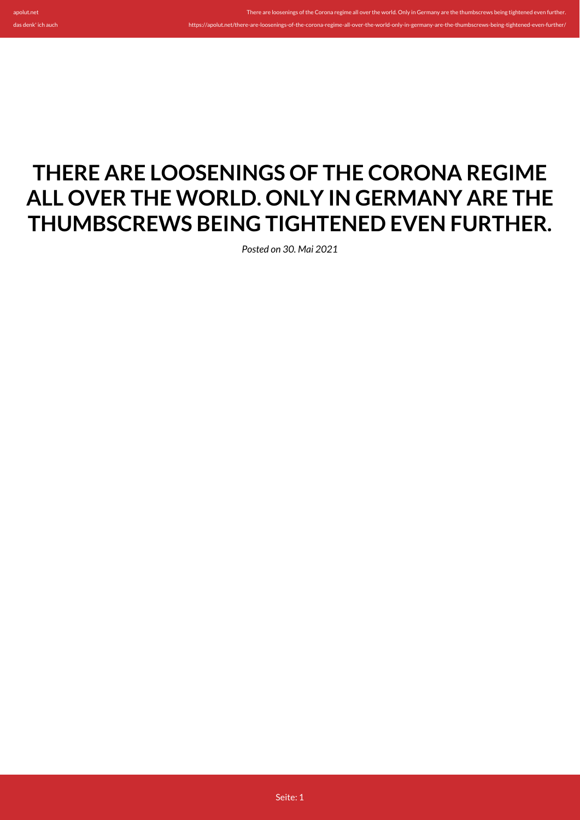## **THERE ARE LOOSENINGS OF THE CORONA REGIME ALL OVER THE WORLD. ONLY IN GERMANY ARE THE THUMBSCREWS BEING TIGHTENED EVEN FURTHER.**

There are loosenings of the Corona regime all over the world. Only in Germany are the thumbscrews being tightened even furt

https://apolut.net/there-are-loosenings-of-the-corona-regime-all-over-the-world-only-in-germany-are-the-thumbscrews-being-tightened-even-further/

*Posted on 30. Mai 2021*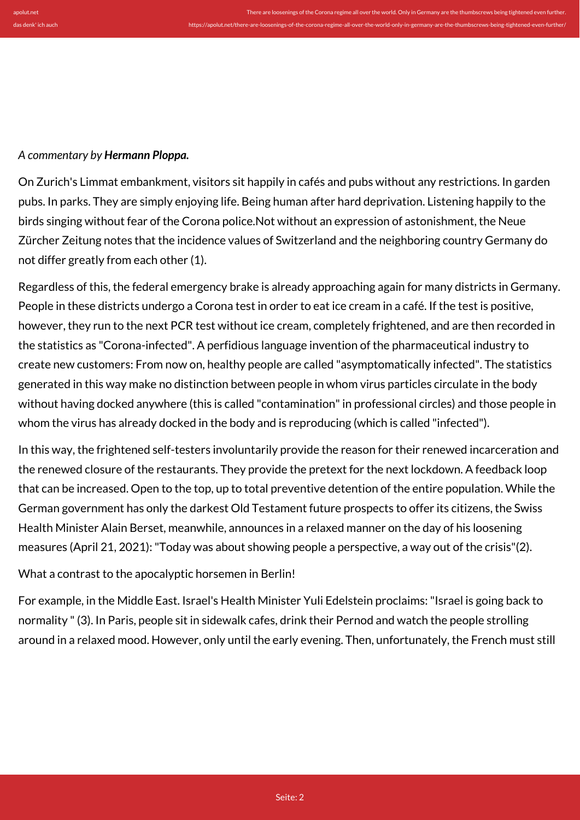## *A commentary by Hermann Ploppa.*

On Zurich's Limmat embankment, visitors sit happily in cafés and pubs without any restrictions. In garden pubs. In parks. They are simply enjoying life. Being human after hard deprivation. Listening happily to the birds singing without fear of the Corona police.Not without an expression of astonishment, the Neue Zürcher Zeitung notes that the incidence values of Switzerland and the neighboring country Germany do not differ greatly from each other (1).

Regardless of this, the federal emergency brake is already approaching again for many districts in Germany. People in these districts undergo a Corona test in order to eat ice cream in a café. If the test is positive, however, they run to the next PCR test without ice cream, completely frightened, and are then recorded in the statistics as "Corona-infected". A perfidious language invention of the pharmaceutical industry to create new customers: From now on, healthy people are called "asymptomatically infected". The statistics generated in this way make no distinction between people in whom virus particles circulate in the body without having docked anywhere (this is called "contamination" in professional circles) and those people in whom the virus has already docked in the body and is reproducing (which is called "infected").

In this way, the frightened self-testers involuntarily provide the reason for their renewed incarceration and the renewed closure of the restaurants. They provide the pretext for the next lockdown. A feedback loop that can be increased. Open to the top, up to total preventive detention of the entire population. While the German government has only the darkest Old Testament future prospects to offer its citizens, the Swiss Health Minister Alain Berset, meanwhile, announces in a relaxed manner on the day of his loosening measures (April 21, 2021): "Today was about showing people a perspective, a way out of the crisis"(2).

## What a contrast to the apocalyptic horsemen in Berlin!

For example, in the Middle East. Israel's Health Minister Yuli Edelstein proclaims: "Israel is going back to normality " (3). In Paris, people sit in sidewalk cafes, drink their Pernod and watch the people strolling around in a relaxed mood. However, only until the early evening. Then, unfortunately, the French must still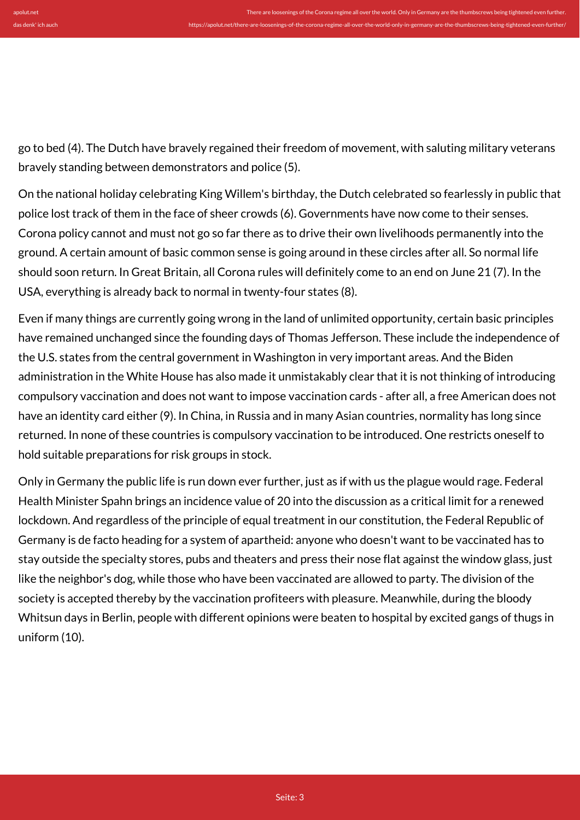go to bed (4). The Dutch have bravely regained their freedom of movement, with saluting military veterans bravely standing between demonstrators and police (5).

On the national holiday celebrating King Willem's birthday, the Dutch celebrated so fearlessly in public that police lost track of them in the face of sheer crowds (6). Governments have now come to their senses. Corona policy cannot and must not go so far there as to drive their own livelihoods permanently into the ground. A certain amount of basic common sense is going around in these circles after all. So normal life should soon return. In Great Britain, all Corona rules will definitely come to an end on June 21 (7). In the USA, everything is already back to normal in twenty-four states (8).

Even if many things are currently going wrong in the land of unlimited opportunity, certain basic principles have remained unchanged since the founding days of Thomas Jefferson. These include the independence of the U.S. states from the central government in Washington in very important areas. And the Biden administration in the White House has also made it unmistakably clear that it is not thinking of introducing compulsory vaccination and does not want to impose vaccination cards - after all, a free American does not have an identity card either (9). In China, in Russia and in many Asian countries, normality has long since returned. In none of these countries is compulsory vaccination to be introduced. One restricts oneself to hold suitable preparations for risk groups in stock.

Only in Germany the public life is run down ever further, just as if with us the plague would rage. Federal Health Minister Spahn brings an incidence value of 20 into the discussion as a critical limit for a renewed lockdown. And regardless of the principle of equal treatment in our constitution, the Federal Republic of Germany is de facto heading for a system of apartheid: anyone who doesn't want to be vaccinated has to stay outside the specialty stores, pubs and theaters and press their nose flat against the window glass, just like the neighbor's dog, while those who have been vaccinated are allowed to party. The division of the society is accepted thereby by the vaccination profiteers with pleasure. Meanwhile, during the bloody Whitsun days in Berlin, people with different opinions were beaten to hospital by excited gangs of thugs in uniform (10).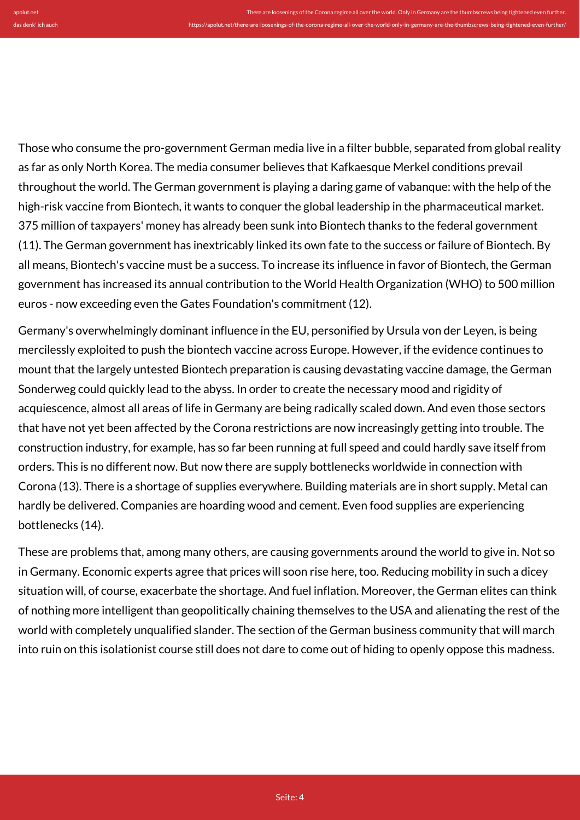Those who consume the pro-government German media live in a filter bubble, separated from global reality as far as only North Korea. The media consumer believes that Kafkaesque Merkel conditions prevail throughout the world. The German government is playing a daring game of vabanque: with the help of the high-risk vaccine from Biontech, it wants to conquer the global leadership in the pharmaceutical market. 375 million of taxpayers' money has already been sunk into Biontech thanks to the federal government (11). The German government has inextricably linked its own fate to the success or failure of Biontech. By all means, Biontech's vaccine must be a success. To increase its influence in favor of Biontech, the German government has increased its annual contribution to the World Health Organization (WHO) to 500 million euros - now exceeding even the Gates Foundation's commitment (12).

Germany's overwhelmingly dominant influence in the EU, personified by Ursula von der Leyen, is being mercilessly exploited to push the biontech vaccine across Europe. However, if the evidence continues to mount that the largely untested Biontech preparation is causing devastating vaccine damage, the German Sonderweg could quickly lead to the abyss. In order to create the necessary mood and rigidity of acquiescence, almost all areas of life in Germany are being radically scaled down. And even those sectors that have not yet been affected by the Corona restrictions are now increasingly getting into trouble. The construction industry, for example, has so far been running at full speed and could hardly save itself from orders. This is no different now. But now there are supply bottlenecks worldwide in connection with Corona (13). There is a shortage of supplies everywhere. Building materials are in short supply. Metal can hardly be delivered. Companies are hoarding wood and cement. Even food supplies are experiencing bottlenecks (14).

These are problems that, among many others, are causing governments around the world to give in. Not so in Germany. Economic experts agree that prices will soon rise here, too. Reducing mobility in such a dicey situation will, of course, exacerbate the shortage. And fuel inflation. Moreover, the German elites can think of nothing more intelligent than geopolitically chaining themselves to the USA and alienating the rest of the world with completely unqualified slander. The section of the German business community that will march into ruin on this isolationist course still does not dare to come out of hiding to openly oppose this madness.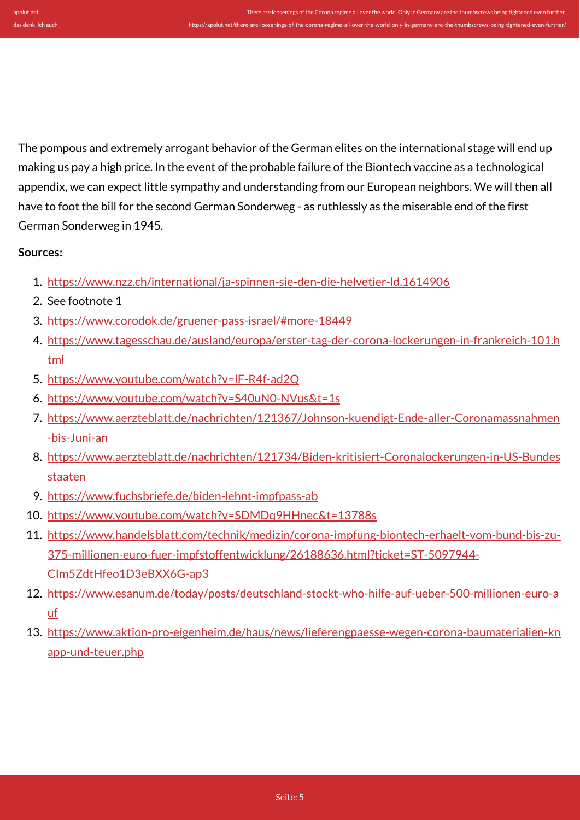The pompous and extremely arrogant behavior of the German elites on the international stage will end up making us pay a high price. In the event of the probable failure of the Biontech vaccine as a technological appendix, we can expect little sympathy and understanding from our European neighbors. We will then all have to foot the bill for the second German Sonderweg - as ruthlessly as the miserable end of the first German Sonderweg in 1945.

## **Sources:**

- 1. <https://www.nzz.ch/international/ja-spinnen-sie-den-die-helvetier-ld.1614906>
- 2. See footnote 1
- 3. <https://www.corodok.de/gruener-pass-israel/#more-18449>
- 4. [https://www.tagesschau.de/ausland/europa/erster-tag-der-corona-lockerungen-in-frankreich-101.h](https://www.tagesschau.de/ausland/europa/erster-tag-der-corona-lockerungen-in-frankreich-101.html) [tml](https://www.tagesschau.de/ausland/europa/erster-tag-der-corona-lockerungen-in-frankreich-101.html)
- 5. <https://www.youtube.com/watch?v=lF-R4f-ad2Q>
- 6. <https://www.youtube.com/watch?v=S40uN0-NVus&t=1s>
- 7. [https://www.aerzteblatt.de/nachrichten/121367/Johnson-kuendigt-Ende-aller-Coronamassnahmen](https://www.aerzteblatt.de/nachrichten/121367/Johnson-kuendigt-Ende-aller-Coronamassnahmen-bis-Juni-an) [-bis-Juni-an](https://www.aerzteblatt.de/nachrichten/121367/Johnson-kuendigt-Ende-aller-Coronamassnahmen-bis-Juni-an)
- 8. [https://www.aerzteblatt.de/nachrichten/121734/Biden-kritisiert-Coronalockerungen-in-US-Bundes](https://www.aerzteblatt.de/nachrichten/121734/Biden-kritisiert-Coronalockerungen-in-US-Bundesstaaten) [staaten](https://www.aerzteblatt.de/nachrichten/121734/Biden-kritisiert-Coronalockerungen-in-US-Bundesstaaten)
- 9. <https://www.fuchsbriefe.de/biden-lehnt-impfpass-ab>
- 10. <https://www.youtube.com/watch?v=SDMDq9HHnec&t=13788s>
- 11. [https://www.handelsblatt.com/technik/medizin/corona-impfung-biontech-erhaelt-vom-bund-bis-zu-](https://www.handelsblatt.com/technik/medizin/corona-impfung-biontech-erhaelt-vom-bund-bis-zu-375-millionen-euro-fuer-impfstoffentwicklung/26188636.html?ticket=ST-5097944-CIm5ZdtHfeo1D3eBXX6G-ap3)[375-millionen-euro-fuer-impfstoffentwicklung/26188636.html?ticket=ST-5097944-](https://www.handelsblatt.com/technik/medizin/corona-impfung-biontech-erhaelt-vom-bund-bis-zu-375-millionen-euro-fuer-impfstoffentwicklung/26188636.html?ticket=ST-5097944-CIm5ZdtHfeo1D3eBXX6G-ap3) [CIm5ZdtHfeo1D3eBXX6G-ap3](https://www.handelsblatt.com/technik/medizin/corona-impfung-biontech-erhaelt-vom-bund-bis-zu-375-millionen-euro-fuer-impfstoffentwicklung/26188636.html?ticket=ST-5097944-CIm5ZdtHfeo1D3eBXX6G-ap3)
- 12. [https://www.esanum.de/today/posts/deutschland-stockt-who-hilfe-auf-ueber-500-millionen-euro-a](https://www.esanum.de/today/posts/deutschland-stockt-who-hilfe-auf-ueber-500-millionen-euro-auf) [uf](https://www.esanum.de/today/posts/deutschland-stockt-who-hilfe-auf-ueber-500-millionen-euro-auf)
- 13. [https://www.aktion-pro-eigenheim.de/haus/news/lieferengpaesse-wegen-corona-baumaterialien-kn](https://www.aktion-pro-eigenheim.de/haus/news/lieferengpaesse-wegen-corona-baumaterialien-knapp-und-teuer.php) [app-und-teuer.php](https://www.aktion-pro-eigenheim.de/haus/news/lieferengpaesse-wegen-corona-baumaterialien-knapp-und-teuer.php)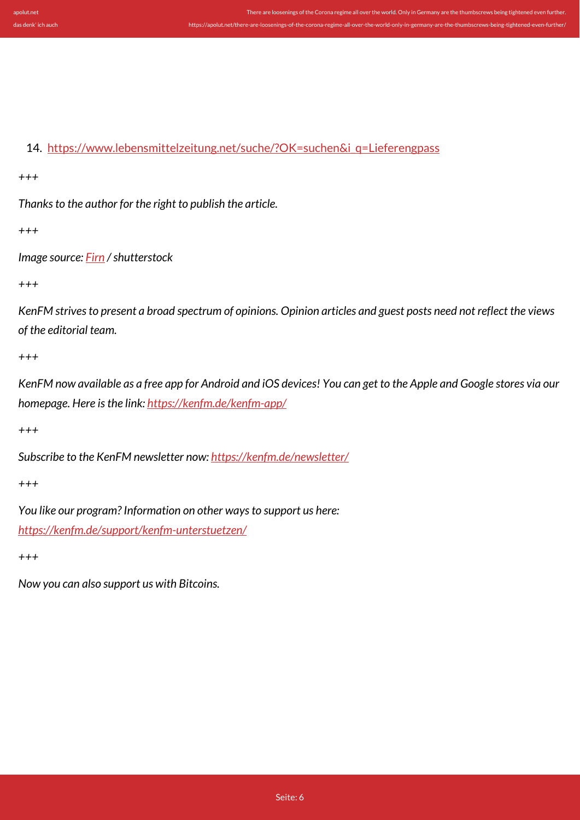14. [https://www.lebensmittelzeitung.net/suche/?OK=suchen&i\\_q=Lieferengpass](https://www.lebensmittelzeitung.net/suche/?OK=suchen&i_q=Lieferengpass)

*+++*

*Thanks to the author for the right to publish the article.*

*+++*

*Image source: [Firn](https://www.shutterstock.com/de/g/Firn) / shutterstock*

*+++*

*KenFM strives to present a broad spectrum of opinions. Opinion articles and guest posts need not reflect the views of the editorial team.*

*+++*

*KenFM now available as a free app for Android and iOS devices! You can get to the Apple and Google stores via our homepage. Here is the link:<https://kenfm.de/kenfm-app/>*

*+++*

*Subscribe to the KenFM newsletter now: <https://kenfm.de/newsletter/>*

*+++*

*You like our program? Information on other ways to support us here: <https://kenfm.de/support/kenfm-unterstuetzen/>*

*+++*

*Now you can also support us with Bitcoins.*